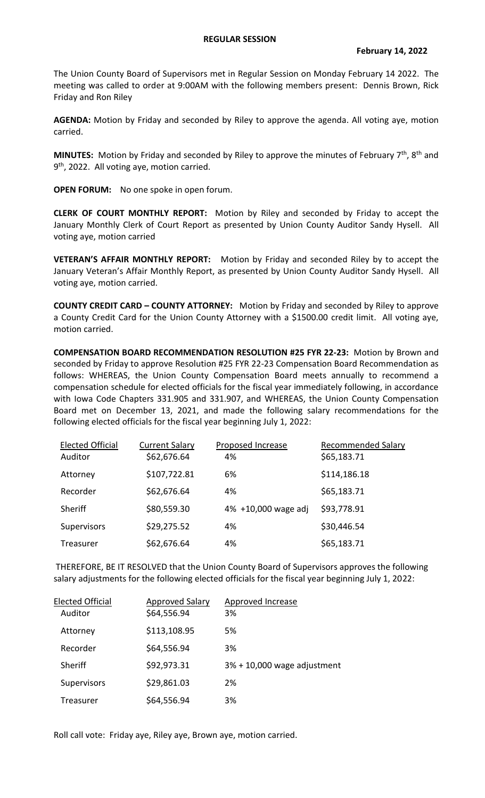## **REGULAR SESSION**

The Union County Board of Supervisors met in Regular Session on Monday February 14 2022. The meeting was called to order at 9:00AM with the following members present: Dennis Brown, Rick Friday and Ron Riley

**AGENDA:** Motion by Friday and seconded by Riley to approve the agenda. All voting aye, motion carried.

**MINUTES:** Motion by Friday and seconded by Riley to approve the minutes of February 7<sup>th</sup>, 8<sup>th</sup> and 9<sup>th</sup>, 2022. All voting aye, motion carried.

**OPEN FORUM:** No one spoke in open forum.

**CLERK OF COURT MONTHLY REPORT:** Motion by Riley and seconded by Friday to accept the January Monthly Clerk of Court Report as presented by Union County Auditor Sandy Hysell. All voting aye, motion carried

**VETERAN'S AFFAIR MONTHLY REPORT:** Motion by Friday and seconded Riley by to accept the January Veteran's Affair Monthly Report, as presented by Union County Auditor Sandy Hysell. All voting aye, motion carried.

**COUNTY CREDIT CARD – COUNTY ATTORNEY:** Motion by Friday and seconded by Riley to approve a County Credit Card for the Union County Attorney with a \$1500.00 credit limit. All voting aye, motion carried.

**COMPENSATION BOARD RECOMMENDATION RESOLUTION #25 FYR 22-23:** Motion by Brown and seconded by Friday to approve Resolution #25 FYR 22-23 Compensation Board Recommendation as follows: WHEREAS, the Union County Compensation Board meets annually to recommend a compensation schedule for elected officials for the fiscal year immediately following, in accordance with Iowa Code Chapters 331.905 and 331.907, and WHEREAS, the Union County Compensation Board met on December 13, 2021, and made the following salary recommendations for the following elected officials for the fiscal year beginning July 1, 2022:

| <b>Elected Official</b><br>Auditor | <b>Current Salary</b><br>\$62,676.64 | Proposed Increase<br>4% | Recommended Salary<br>\$65,183.71 |
|------------------------------------|--------------------------------------|-------------------------|-----------------------------------|
| Attorney                           | \$107,722.81                         | 6%                      | \$114,186.18                      |
| Recorder                           | \$62,676.64                          | 4%                      | \$65,183.71                       |
| Sheriff                            | \$80,559.30                          | 4% +10,000 wage adj     | \$93,778.91                       |
| Supervisors                        | \$29,275.52                          | 4%                      | \$30,446.54                       |
| Treasurer                          | \$62,676.64                          | 4%                      | \$65,183.71                       |

THEREFORE, BE IT RESOLVED that the Union County Board of Supervisors approves the following salary adjustments for the following elected officials for the fiscal year beginning July 1, 2022:

| <b>Elected Official</b> | <b>Approved Salary</b> | Approved Increase           |
|-------------------------|------------------------|-----------------------------|
| Auditor                 | \$64,556.94            | 3%                          |
| Attorney                | \$113,108.95           | 5%                          |
| Recorder                | \$64,556.94            | 3%                          |
| Sheriff                 | \$92,973.31            | 3% + 10,000 wage adjustment |
| Supervisors             | \$29,861.03            | 2%                          |
| Treasurer               | \$64,556.94            | 3%                          |

Roll call vote: Friday aye, Riley aye, Brown aye, motion carried.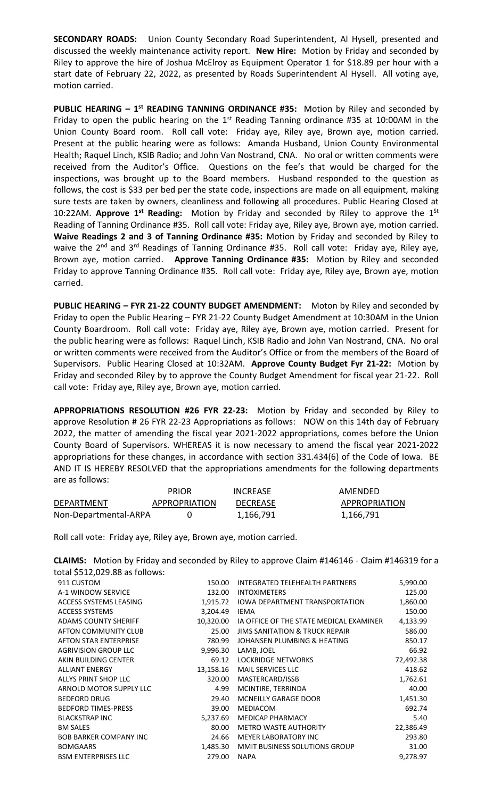**SECONDARY ROADS:** Union County Secondary Road Superintendent, Al Hysell, presented and discussed the weekly maintenance activity report. **New Hire:** Motion by Friday and seconded by Riley to approve the hire of Joshua McElroy as Equipment Operator 1 for \$18.89 per hour with a start date of February 22, 2022, as presented by Roads Superintendent Al Hysell. All voting aye, motion carried.

**PUBLIC HEARING – 1<sup>st</sup> READING TANNING ORDINANCE #35:** Motion by Riley and seconded by Friday to open the public hearing on the  $1<sup>st</sup>$  Reading Tanning ordinance #35 at 10:00AM in the Union County Board room. Roll call vote: Friday aye, Riley aye, Brown aye, motion carried. Present at the public hearing were as follows: Amanda Husband, Union County Environmental Health; Raquel Linch, KSIB Radio; and John Van Nostrand, CNA. No oral or written comments were received from the Auditor's Office. Questions on the fee's that would be charged for the inspections, was brought up to the Board members. Husband responded to the question as follows, the cost is \$33 per bed per the state code, inspections are made on all equipment, making sure tests are taken by owners, cleanliness and following all procedures. Public Hearing Closed at 10:22AM. Approve 1<sup>st</sup> Reading: Motion by Friday and seconded by Riley to approve the 1<sup>St</sup> Reading of Tanning Ordinance #35. Roll call vote: Friday aye, Riley aye, Brown aye, motion carried. **Waive Readings 2 and 3 of Tanning Ordinance #35:** Motion by Friday and seconded by Riley to waive the  $2^{nd}$  and  $3^{rd}$  Readings of Tanning Ordinance #35. Roll call vote: Friday aye, Riley aye, Brown aye, motion carried. **Approve Tanning Ordinance #35:** Motion by Riley and seconded Friday to approve Tanning Ordinance #35. Roll call vote: Friday aye, Riley aye, Brown aye, motion carried.

**PUBLIC HEARING – FYR 21-22 COUNTY BUDGET AMENDMENT:** Moton by Riley and seconded by Friday to open the Public Hearing – FYR 21-22 County Budget Amendment at 10:30AM in the Union County Boardroom. Roll call vote: Friday aye, Riley aye, Brown aye, motion carried. Present for the public hearing were as follows: Raquel Linch, KSIB Radio and John Van Nostrand, CNA. No oral or written comments were received from the Auditor's Office or from the members of the Board of Supervisors. Public Hearing Closed at 10:32AM. **Approve County Budget Fyr 21-22:** Motion by Friday and seconded Riley by to approve the County Budget Amendment for fiscal year 21-22. Roll call vote: Friday aye, Riley aye, Brown aye, motion carried.

**APPROPRIATIONS RESOLUTION #26 FYR 22-23:** Motion by Friday and seconded by Riley to approve Resolution # 26 FYR 22-23 Appropriations as follows: NOW on this 14th day of February 2022, the matter of amending the fiscal year 2021-2022 appropriations, comes before the Union County Board of Supervisors. WHEREAS it is now necessary to amend the fiscal year 2021-2022 appropriations for these changes, in accordance with section 331.434(6) of the Code of Iowa. BE AND IT IS HEREBY RESOLVED that the appropriations amendments for the following departments are as follows:

|                       | <b>PRIOR</b>  | <b>INCREASE</b> | AMENDED              |
|-----------------------|---------------|-----------------|----------------------|
| <b>DEPARTMENT</b>     | APPROPRIATION | <b>DECREASE</b> | <b>APPROPRIATION</b> |
| Non-Departmental-ARPA |               | 1,166,791       | 1,166,791            |

Roll call vote: Friday aye, Riley aye, Brown aye, motion carried.

| <b>CLAIMS:</b> Motion by Friday and seconded by Riley to approve Claim #146146 - Claim #146319 for a |
|------------------------------------------------------------------------------------------------------|
| total \$512,029.88 as follows:                                                                       |

| 911 CUSTOM                    | 150.00    | <b>INTEGRATED TELEHEALTH PARTNERS</b>     | 5,990.00  |
|-------------------------------|-----------|-------------------------------------------|-----------|
| A-1 WINDOW SERVICE            | 132.00    | <b>INTOXIMETERS</b>                       | 125.00    |
| <b>ACCESS SYSTEMS LEASING</b> | 1,915.72  | <b>IOWA DEPARTMENT TRANSPORTATION</b>     | 1,860.00  |
| <b>ACCESS SYSTEMS</b>         | 3,204.49  | <b>IEMA</b>                               | 150.00    |
| <b>ADAMS COUNTY SHERIFF</b>   | 10,320.00 | IA OFFICE OF THE STATE MEDICAL EXAMINER   | 4,133.99  |
| AFTON COMMUNITY CLUB          | 25.00     | <b>JIMS SANITATION &amp; TRUCK REPAIR</b> | 586.00    |
| <b>AFTON STAR ENTERPRISE</b>  | 780.99    | JOHANSEN PLUMBING & HEATING               | 850.17    |
| <b>AGRIVISION GROUP LLC</b>   | 9,996.30  | LAMB, JOEL                                | 66.92     |
| AKIN BUILDING CENTER          | 69.12     | <b>LOCKRIDGE NETWORKS</b>                 | 72,492.38 |
| <b>ALLIANT ENERGY</b>         | 13,158.16 | <b>MAIL SERVICES LLC</b>                  | 418.62    |
| ALLYS PRINT SHOP LLC          | 320.00    | MASTERCARD/ISSB                           | 1,762.61  |
| ARNOLD MOTOR SUPPLY LLC       | 4.99      | MCINTIRE, TERRINDA                        | 40.00     |
| <b>BEDFORD DRUG</b>           | 29.40     | <b>MCNEILLY GARAGE DOOR</b>               | 1,451.30  |
| <b>BEDFORD TIMES-PRESS</b>    | 39.00     | <b>MEDIACOM</b>                           | 692.74    |
| <b>BLACKSTRAP INC</b>         | 5,237.69  | <b>MEDICAP PHARMACY</b>                   | 5.40      |
| <b>BM SALES</b>               | 80.00     | <b>METRO WASTE AUTHORITY</b>              | 22,386.49 |
| <b>BOB BARKER COMPANY INC</b> | 24.66     | <b>MEYER LABORATORY INC</b>               | 293.80    |
| <b>BOMGAARS</b>               | 1,485.30  | MMIT BUSINESS SOLUTIONS GROUP             | 31.00     |
| <b>BSM ENTERPRISES LLC</b>    | 279.00    | <b>NAPA</b>                               | 9,278.97  |